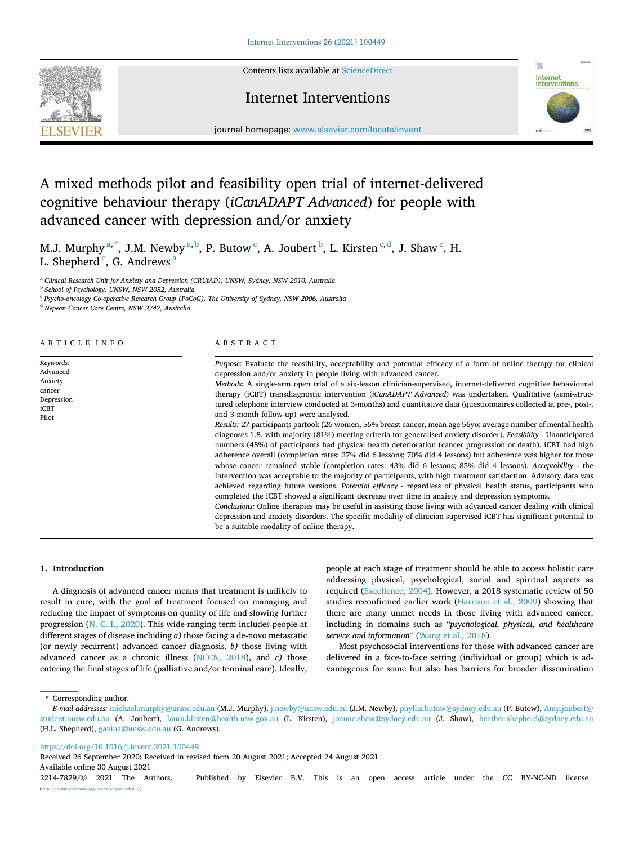**SEVIER** 

Contents lists available at [ScienceDirect](www.sciencedirect.com/science/journal/22147829)

## Internet Interventions



journal homepage: [www.elsevier.com/locate/invent](https://www.elsevier.com/locate/invent)

# A mixed methods pilot and feasibility open trial of internet-delivered cognitive behaviour therapy (*iCanADAPT Advanced*) for people with advanced cancer with depression and/or anxiety

M.J. Murphy  $a, ^{*}$ , J.M. Newby  $a, ^{b}$ , P. Butow  $c, A$ . Joubert  $b, L$ . Kirsten  $c, d$ , J. Shaw  $c, H$ . L. Shepherd<sup>c</sup>, G. Andrews<sup>a</sup>

<sup>a</sup> *Clinical Research Unit for Anxiety and Depression (CRUfAD), UNSW, Sydney, NSW 2010, Australia* 

<sup>b</sup> *School of Psychology, UNSW, NSW 2052, Australia* 

<sup>c</sup> *Psycho-oncology Co-operative Research Group (PoCoG), The University of Sydney, NSW 2006, Australia* 

<sup>d</sup> *Nepean Cancer Care Centre, NSW 2747, Australia* 

ARTICLE INFO

*Keywords:*  Advanced Anxiety cancer Depression iCBT Pilot

#### ABSTRACT

*Purpose:* Evaluate the feasibility, acceptability and potential efficacy of a form of online therapy for clinical depression and/or anxiety in people living with advanced cancer. *Methods:* A single-arm open trial of a six-lesson clinician-supervised, internet-delivered cognitive behavioural therapy (iCBT) transdiagnostic intervention (*iCanADAPT Advanced*) was undertaken. Qualitative (semi-structured telephone interview conducted at 3-months) and quantitative data (questionnaires collected at pre-, post-, and 3-month follow-up) were analysed. *Results:* 27 participants partook (26 women, 56% breast cancer, mean age 56yo; average number of mental health diagnoses 1.8, with majority (81%) meeting criteria for generalised anxiety disorder). *Feasibility -* Unanticipated numbers (48%) of participants had physical health deterioration (cancer progression or death). iCBT had high adherence overall (completion rates: 37% did 6 lessons; 70% did 4 lessons) but adherence was higher for those whose cancer remained stable (completion rates: 43% did 6 lessons; 85% did 4 lessons). *Acceptability* - the intervention was acceptable to the majority of participants, with high treatment satisfaction. Advisory data was achieved regarding future versions. *Potential efficacy* - regardless of physical health status, participants who completed the iCBT showed a significant decrease over time in anxiety and depression symptoms. *Conclusions:* Online therapies may be useful in assisting those living with advanced cancer dealing with clinical depression and anxiety disorders. The specific modality of clinician supervised iCBT has significant potential to be a suitable modality of online therapy.

## **1. Introduction**

A diagnosis of advanced cancer means that treatment is unlikely to result in cure, with the goal of treatment focused on managing and reducing the impact of symptoms on quality of life and slowing further progression ([N. C. I., 2020](#page-8-0)). This wide-ranging term includes people at different stages of disease including *a)* those facing a de-novo metastatic (or newly recurrent) advanced cancer diagnosis, *b)* those living with advanced cancer as a chronic illness ([NCCN, 2018\)](#page-8-0), and *c)* those entering the final stages of life (palliative and/or terminal care). Ideally,

people at each stage of treatment should be able to access holistic care addressing physical, psychological, social and spiritual aspects as required [\(Excellence, 2004\)](#page-8-0). However, a 2018 systematic review of 50 studies reconfirmed earlier work ([Harrison et al., 2009](#page-8-0)) showing that there are many unmet needs in those living with advanced cancer, including in domains such as "*psychological, physical, and healthcare service and information*" [\(Wang et al., 2018\)](#page-9-0).

Most psychosocial interventions for those with advanced cancer are delivered in a face-to-face setting (individual or group) which is advantageous for some but also has barriers for broader dissemination

\* Corresponding author.

[\(http://creativecommons.org/licenses/by-nc-nd/4.0/\)](http://creativecommons.org/licenses/by-nc-nd/4.0/).

<https://doi.org/10.1016/j.invent.2021.100449>

Available online 30 August 2021 2214-7829/© 2021 The Authors. Published by Elsevier B.V. This is an open access article under the CC BY-NC-ND license Received 26 September 2020; Received in revised form 20 August 2021; Accepted 24 August 2021

*E-mail addresses:* [michael.murphy@unsw.edu.au](mailto:michael.murphy@unsw.edu.au) (M.J. Murphy), [j.newby@unsw.edu.au](mailto:j.newby@unsw.edu.au) (J.M. Newby), [phyllis.butow@sydney.edu.au](mailto:phyllis.butow@sydney.edu.au) (P. Butow), [Amy.joubert@](mailto:Amy.joubert@student.unsw.edu.au)  [student.unsw.edu.au](mailto:Amy.joubert@student.unsw.edu.au) (A. Joubert), [laura.kirsten@health.nsw.gov.au](mailto:laura.kirsten@health.nsw.gov.au) (L. Kirsten), [joanne.shaw@sydney.edu.au](mailto:joanne.shaw@sydney.edu.au) (J. Shaw), [heather.shepherd@sydney.edu.au](mailto:heather.shepherd@sydney.edu.au)  (H.L. Shepherd), [gavina@unsw.edu.au](mailto:gavina@unsw.edu.au) (G. Andrews).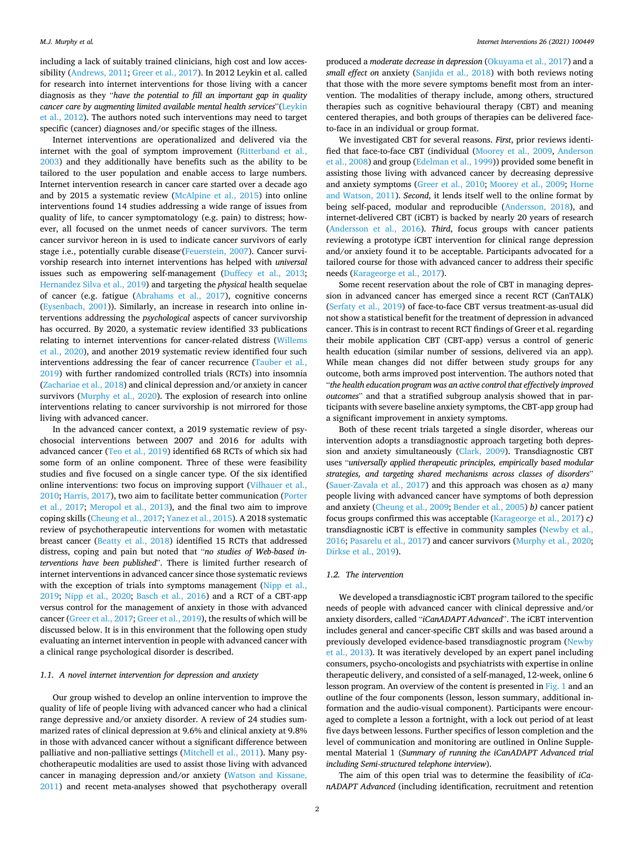including a lack of suitably trained clinicians, high cost and low accessibility ([Andrews, 2011; Greer et al., 2017\)](#page-8-0). In 2012 Leykin et al. called for research into internet interventions for those living with a cancer diagnosis as they "*have the potential to fill an important gap in quality cancer care by augmenting limited available mental health services*"[\(Leykin](#page-8-0)  [et al., 2012](#page-8-0)). The authors noted such interventions may need to target specific (cancer) diagnoses and/or specific stages of the illness.

Internet interventions are operationalized and delivered via the internet with the goal of symptom improvement (Ritterband et al., [2003\)](#page-9-0) and they additionally have benefits such as the ability to be tailored to the user population and enable access to large numbers. Internet intervention research in cancer care started over a decade ago and by 2015 a systematic review [\(McAlpine et al., 2015](#page-8-0)) into online interventions found 14 studies addressing a wide range of issues from quality of life, to cancer symptomatology (e.g. pain) to distress; however, all focused on the unmet needs of cancer survivors. The term cancer survivor hereon in is used to indicate cancer survivors of early stage i.e., potentially curable disease'([Feuerstein, 2007](#page-8-0)). Cancer survivorship research into internet interventions has helped with *universal*  issues such as empowering self-management [\(Duffecy et al., 2013](#page-8-0); [Hernandez Silva et al., 2019](#page-8-0)) and targeting the *physical* health sequelae of cancer (e.g. fatigue ([Abrahams et al., 2017](#page-8-0)), cognitive concerns ([Eysenbach, 2001](#page-8-0))). Similarly, an increase in research into online interventions addressing the *psychological* aspects of cancer survivorship has occurred. By 2020, a systematic review identified 33 publications relating to internet interventions for cancer-related distress [\(Willems](#page-9-0)  [et al., 2020](#page-9-0)), and another 2019 systematic review identified four such interventions addressing the fear of cancer recurrence ([Tauber et al.,](#page-9-0)  [2019\)](#page-9-0) with further randomized controlled trials (RCTs) into insomnia ([Zachariae et al., 2018](#page-9-0)) and clinical depression and/or anxiety in cancer survivors ([Murphy et al., 2020](#page-8-0)). The explosion of research into online interventions relating to cancer survivorship is not mirrored for those living with advanced cancer.

In the advanced cancer context, a 2019 systematic review of psychosocial interventions between 2007 and 2016 for adults with advanced cancer ([Teo et al., 2019](#page-9-0)) identified 68 RCTs of which six had some form of an online component. Three of these were feasibility studies and five focused on a single cancer type. Of the six identified online interventions: two focus on improving support [\(Vilhauer et al.,](#page-9-0)  [2010;](#page-9-0) [Harris, 2017\)](#page-8-0), two aim to facilitate better communication ([Porter](#page-9-0)  [et al., 2017](#page-9-0); [Meropol et al., 2013\)](#page-8-0), and the final two aim to improve coping skills [\(Cheung et al., 2017;](#page-8-0) [Yanez et al., 2015](#page-9-0)). A 2018 systematic review of psychotherapeutic interventions for women with metastatic breast cancer ([Beatty et al., 2018](#page-8-0)) identified 15 RCTs that addressed distress, coping and pain but noted that "*no studies of Web-based interventions have been published*". There is limited further research of internet interventions in advanced cancer since those systematic reviews with the exception of trials into symptoms management (Nipp et al., [2019;](#page-8-0) [Nipp et al., 2020;](#page-8-0) [Basch et al., 2016\)](#page-8-0) and a RCT of a CBT-app versus control for the management of anxiety in those with advanced cancer [\(Greer et al., 2017](#page-8-0); [Greer et al., 2019](#page-8-0)), the results of which will be discussed below. It is in this environment that the following open study evaluating an internet intervention in people with advanced cancer with a clinical range psychological disorder is described.

## *1.1. A novel internet intervention for depression and anxiety*

Our group wished to develop an online intervention to improve the quality of life of people living with advanced cancer who had a clinical range depressive and/or anxiety disorder. A review of 24 studies summarized rates of clinical depression at 9.6% and clinical anxiety at 9.8% in those with advanced cancer without a significant difference between palliative and non-palliative settings [\(Mitchell et al., 2011](#page-8-0)). Many psychotherapeutic modalities are used to assist those living with advanced cancer in managing depression and/or anxiety ([Watson and Kissane,](#page-9-0)  [2011\)](#page-9-0) and recent meta-analyses showed that psychotherapy overall produced a *moderate decrease in depression* [\(Okuyama et al., 2017\)](#page-8-0) and a *small effect on* anxiety ([Sanjida et al., 2018](#page-9-0)) with both reviews noting that those with the more severe symptoms benefit most from an intervention. The modalities of therapy include, among others, structured therapies such as cognitive behavioural therapy (CBT) and meaning centered therapies, and both groups of therapies can be delivered faceto-face in an individual or group format.

We investigated CBT for several reasons. *First*, prior reviews identified that face-to-face CBT (individual [\(Moorey et al., 2009,](#page-8-0) [Anderson](#page-8-0)  [et al., 2008\)](#page-8-0) and group [\(Edelman et al., 1999](#page-8-0))) provided some benefit in assisting those living with advanced cancer by decreasing depressive and anxiety symptoms [\(Greer et al., 2010](#page-8-0); [Moorey et al., 2009;](#page-8-0) [Horne](#page-8-0)  [and Watson, 2011](#page-8-0)). *Second*, it lends itself well to the online format by being self-paced, modular and reproducible [\(Andersson, 2018](#page-8-0)), and internet-delivered CBT (iCBT) is backed by nearly 20 years of research ([Andersson et al., 2016](#page-8-0)). *Third*, focus groups with cancer patients reviewing a prototype iCBT intervention for clinical range depression and/or anxiety found it to be acceptable. Participants advocated for a tailored course for those with advanced cancer to address their specific needs ([Karageorge et al., 2017\)](#page-8-0).

Some recent reservation about the role of CBT in managing depression in advanced cancer has emerged since a recent RCT (CanTALK) ([Serfaty et al., 2019\)](#page-9-0) of face-to-face CBT versus treatment-as-usual did not show a statistical benefit for the treatment of depression in advanced cancer. This is in contrast to recent RCT findings of Greer et al. regarding their mobile application CBT (CBT-app) versus a control of generic health education (similar number of sessions, delivered via an app). While mean changes did not differ between study groups for any outcome, both arms improved post intervention. The authors noted that "*the health education program was an active control that effectively improved outcomes*" and that a stratified subgroup analysis showed that in participants with severe baseline anxiety symptoms, the CBT-app group had a significant improvement in anxiety symptoms.

Both of these recent trials targeted a single disorder, whereas our intervention adopts a transdiagnostic approach targeting both depression and anxiety simultaneously ([Clark, 2009](#page-8-0)). Transdiagnostic CBT uses "*universally applied therapeutic principles, empirically based modular strategies, and targeting shared mechanisms across classes of disorders*" ([Sauer-Zavala et al., 2017\)](#page-9-0) and this approach was chosen as *a)* many people living with advanced cancer have symptoms of both depression and anxiety ([Cheung et al., 2009; Bender et al., 2005\)](#page-8-0) *b)* cancer patient focus groups confirmed this was acceptable ([Karageorge et al., 2017\)](#page-8-0) *c)*  transdiagnostic iCBT is effective in community samples [\(Newby et al.,](#page-8-0)  [2016;](#page-8-0) [Pasarelu et al., 2017](#page-9-0)) and cancer survivors [\(Murphy et al., 2020](#page-8-0); [Dirkse et al., 2019\)](#page-8-0).

## *1.2. The intervention*

We developed a transdiagnostic iCBT program tailored to the specific needs of people with advanced cancer with clinical depressive and/or anxiety disorders, called "*iCanADAPT Advanced*". The iCBT intervention includes general and cancer-specific CBT skills and was based around a previously developed evidence-based transdiagnostic program [\(Newby](#page-8-0)  [et al., 2013](#page-8-0)). It was iteratively developed by an expert panel including consumers, psycho-oncologists and psychiatrists with expertise in online therapeutic delivery, and consisted of a self-managed, 12-week, online 6 lesson program. An overview of the content is presented in [Fig. 1](#page-2-0) and an outline of the four components (lesson, lesson summary, additional information and the audio-visual component). Participants were encouraged to complete a lesson a fortnight, with a lock out period of at least five days between lessons. Further specifics of lesson completion and the level of communication and monitoring are outlined in Online Supplemental Material 1 (*Summary of running the iCanADAPT Advanced trial including Semi-structured telephone interview*).

The aim of this open trial was to determine the feasibility of *iCanADAPT Advanced* (including identification, recruitment and retention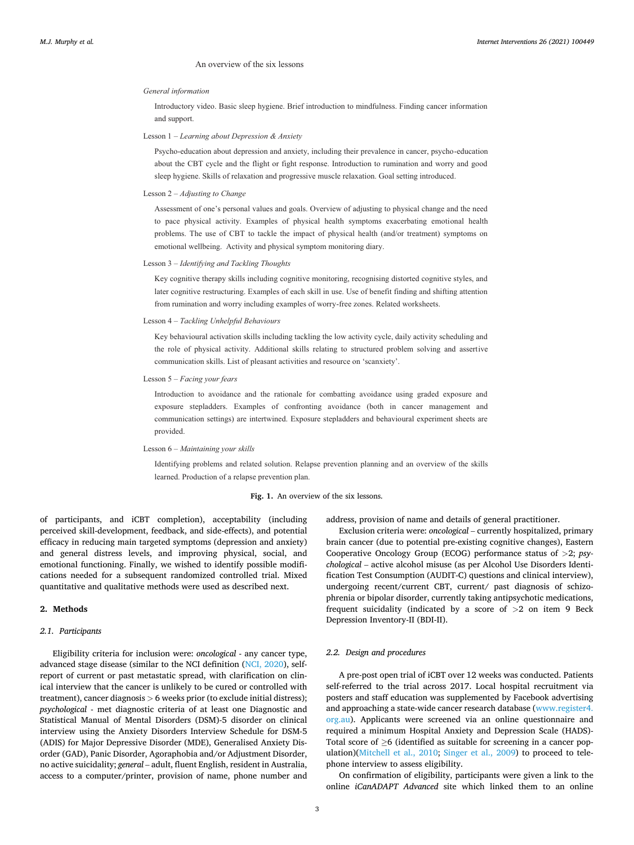## An overview of the six lessons

#### <span id="page-2-0"></span>*General information*

Introductory video. Basic sleep hygiene. Brief introduction to mindfulness. Finding cancer information and support.

#### Lesson 1 – *Learning about Depression & Anxiety*

Psycho-education about depression and anxiety, including their prevalence in cancer, psycho-education about the CBT cycle and the flight or fight response. Introduction to rumination and worry and good sleep hygiene. Skills of relaxation and progressive muscle relaxation. Goal setting introduced.

Lesson 2 – *Adjusting to Change*

Assessment of one's personal values and goals. Overview of adjusting to physical change and the need to pace physical activity. Examples of physical health symptoms exacerbating emotional health problems. The use of CBT to tackle the impact of physical health (and/or treatment) symptoms on emotional wellbeing. Activity and physical symptom monitoring diary.

#### Lesson 3 – *Identifying and Tackling Thoughts*

Key cognitive therapy skills including cognitive monitoring, recognising distorted cognitive styles, and later cognitive restructuring. Examples of each skill in use. Use of benefit finding and shifting attention from rumination and worry including examples of worry-free zones. Related worksheets.

#### Lesson 4 – *Tackling Unhelpful Behaviours*

Key behavioural activation skills including tackling the low activity cycle, daily activity scheduling and the role of physical activity. Additional skills relating to structured problem solving and assertive communication skills. List of pleasant activities and resource on 'scanxiety'.

#### Lesson 5 – *Facing your fears*

Introduction to avoidance and the rationale for combatting avoidance using graded exposure and exposure stepladders. Examples of confronting avoidance (both in cancer management and communication settings) are intertwined. Exposure stepladders and behavioural experiment sheets are provided.

#### Lesson 6 – *Maintaining your skills*

Identifying problems and related solution. Relapse prevention planning and an overview of the skills learned. Production of a relapse prevention plan.

## Fig. 1. An overview of the six lessons.

of participants, and iCBT completion), acceptability (including perceived skill-development, feedback, and side-effects), and potential efficacy in reducing main targeted symptoms (depression and anxiety) and general distress levels, and improving physical, social, and emotional functioning. Finally, we wished to identify possible modifications needed for a subsequent randomized controlled trial. Mixed quantitative and qualitative methods were used as described next.

## **2. Methods**

## *2.1. Participants*

Eligibility criteria for inclusion were: *oncological* - any cancer type, advanced stage disease (similar to the NCI definition [\(NCI, 2020](#page-8-0)), selfreport of current or past metastatic spread, with clarification on clinical interview that the cancer is unlikely to be cured or controlled with treatment), cancer diagnosis *>* 6 weeks prior (to exclude initial distress); *psychological* - met diagnostic criteria of at least one Diagnostic and Statistical Manual of Mental Disorders (DSM)-5 disorder on clinical interview using the Anxiety Disorders Interview Schedule for DSM-5 (ADIS) for Major Depressive Disorder (MDE), Generalised Anxiety Disorder (GAD), Panic Disorder, Agoraphobia and/or Adjustment Disorder, no active suicidality; *general* – adult, fluent English, resident in Australia, access to a computer/printer, provision of name, phone number and address, provision of name and details of general practitioner.

Exclusion criteria were: *oncological* – currently hospitalized, primary brain cancer (due to potential pre-existing cognitive changes), Eastern Cooperative Oncology Group (ECOG) performance status of *>*2; *psychological* – active alcohol misuse (as per Alcohol Use Disorders Identification Test Consumption (AUDIT-C) questions and clinical interview), undergoing recent/current CBT, current/ past diagnosis of schizophrenia or bipolar disorder, currently taking antipsychotic medications, frequent suicidality (indicated by a score of *>*2 on item 9 Beck Depression Inventory-II (BDI-II).

## *2.2. Design and procedures*

A pre-post open trial of iCBT over 12 weeks was conducted. Patients self-referred to the trial across 2017. Local hospital recruitment via posters and staff education was supplemented by Facebook advertising and approaching a state-wide cancer research database [\(www.register4.](http://www.register4.org.au)  [org.au](http://www.register4.org.au)). Applicants were screened via an online questionnaire and required a minimum Hospital Anxiety and Depression Scale (HADS)- Total score of ≥6 (identified as suitable for screening in a cancer population)([Mitchell et al., 2010;](#page-8-0) [Singer et al., 2009](#page-9-0)) to proceed to telephone interview to assess eligibility.

On confirmation of eligibility, participants were given a link to the online *iCanADAPT Advanced* site which linked them to an online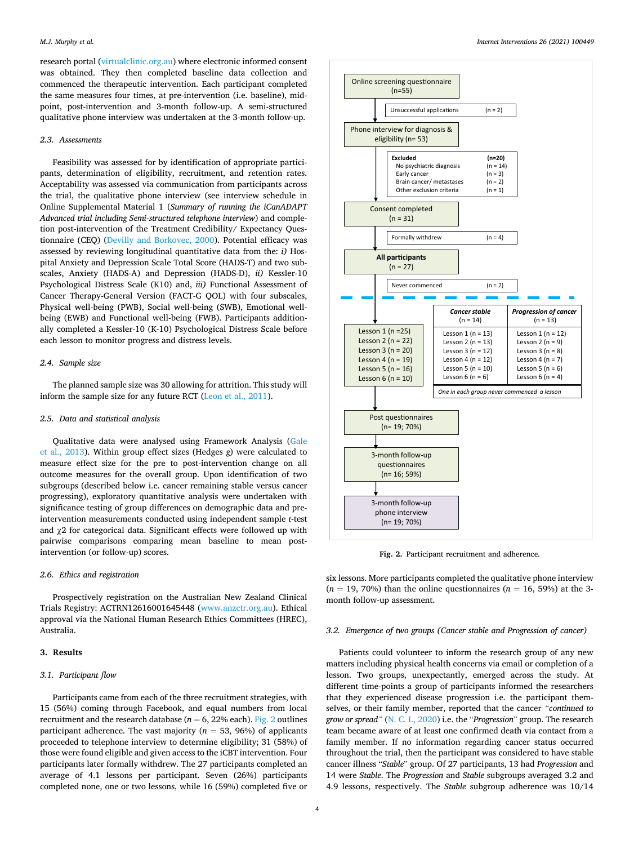<span id="page-3-0"></span>research portal [\(virtualclinic.org.au](http://virtualclinic.org.au)) where electronic informed consent was obtained. They then completed baseline data collection and commenced the therapeutic intervention. Each participant completed the same measures four times, at pre-intervention (i.e. baseline), midpoint, post-intervention and 3-month follow-up. A semi-structured qualitative phone interview was undertaken at the 3-month follow-up.

## *2.3. Assessments*

Feasibility was assessed for by identification of appropriate participants, determination of eligibility, recruitment, and retention rates. Acceptability was assessed via communication from participants across the trial, the qualitative phone interview (see interview schedule in Online Supplemental Material 1 (*Summary of running the iCanADAPT Advanced trial including Semi-structured telephone interview*) and completion post-intervention of the Treatment Credibility/ Expectancy Questionnaire (CEQ) ([Devilly and Borkovec, 2000](#page-8-0)). Potential efficacy was assessed by reviewing longitudinal quantitative data from the: *i)* Hospital Anxiety and Depression Scale Total Score (HADS-T) and two subscales, Anxiety (HADS-A) and Depression (HADS-D), *ii)* Kessler-10 Psychological Distress Scale (K10) and, *iii)* Functional Assessment of Cancer Therapy-General Version (FACT-G QOL) with four subscales, Physical well-being (PWB), Social well-being (SWB), Emotional wellbeing (EWB) and Functional well-being (FWB). Participants additionally completed a Kessler-10 (K-10) Psychological Distress Scale before each lesson to monitor progress and distress levels.

#### *2.4. Sample size*

The planned sample size was 30 allowing for attrition. This study will inform the sample size for any future RCT ([Leon et al., 2011](#page-8-0)).

## *2.5. Data and statistical analysis*

Qualitative data were analysed using Framework Analysis ([Gale](#page-8-0)  [et al., 2013](#page-8-0)). Within group effect sizes (Hedges *g*) were calculated to measure effect size for the pre to post-intervention change on all outcome measures for the overall group. Upon identification of two subgroups (described below i.e. cancer remaining stable versus cancer progressing), exploratory quantitative analysis were undertaken with significance testing of group differences on demographic data and preintervention measurements conducted using independent sample *t*-test and χ2 for categorical data. Significant effects were followed up with pairwise comparisons comparing mean baseline to mean postintervention (or follow-up) scores.

## *2.6. Ethics and registration*

Prospectively registration on the Australian New Zealand Clinical Trials Registry: ACTRN12616001645448 ([www.anzctr.org.au](http://www.anzctr.org.au)). Ethical approval via the National Human Research Ethics Committees (HREC), Australia.

## **3. Results**

## *3.1. Participant flow*

Participants came from each of the three recruitment strategies, with 15 (56%) coming through Facebook, and equal numbers from local recruitment and the research database ( $n = 6$ , 22% each). Fig. 2 outlines participant adherence. The vast majority (*n* = 53, 96%) of applicants proceeded to telephone interview to determine eligibility; 31 (58%) of those were found eligible and given access to the iCBT intervention. Four participants later formally withdrew. The 27 participants completed an average of 4.1 lessons per participant. Seven (26%) participants completed none, one or two lessons, while 16 (59%) completed five or



**Fig. 2.** Participant recruitment and adherence.

six lessons. More participants completed the qualitative phone interview  $(n = 19, 70\%)$  than the online questionnaires  $(n = 16, 59\%)$  at the 3month follow-up assessment.

## *3.2. Emergence of two groups (Cancer stable and Progression of cancer)*

Patients could volunteer to inform the research group of any new matters including physical health concerns via email or completion of a lesson. Two groups, unexpectantly, emerged across the study. At different time-points a group of participants informed the researchers that they experienced disease progression i.e. the participant themselves, or their family member, reported that the cancer *"continued to grow or spread"* ([N. C. I., 2020\)](#page-8-0) i.e. the "*Progression*" group. The research team became aware of at least one confirmed death via contact from a family member. If no information regarding cancer status occurred throughout the trial, then the participant was considered to have stable cancer illness "*Stable*" group. Of 27 participants, 13 had *Progression* and 14 were *Stable*. The *Progression* and *Stable* subgroups averaged 3.2 and 4.9 lessons, respectively. The *Stable* subgroup adherence was 10/14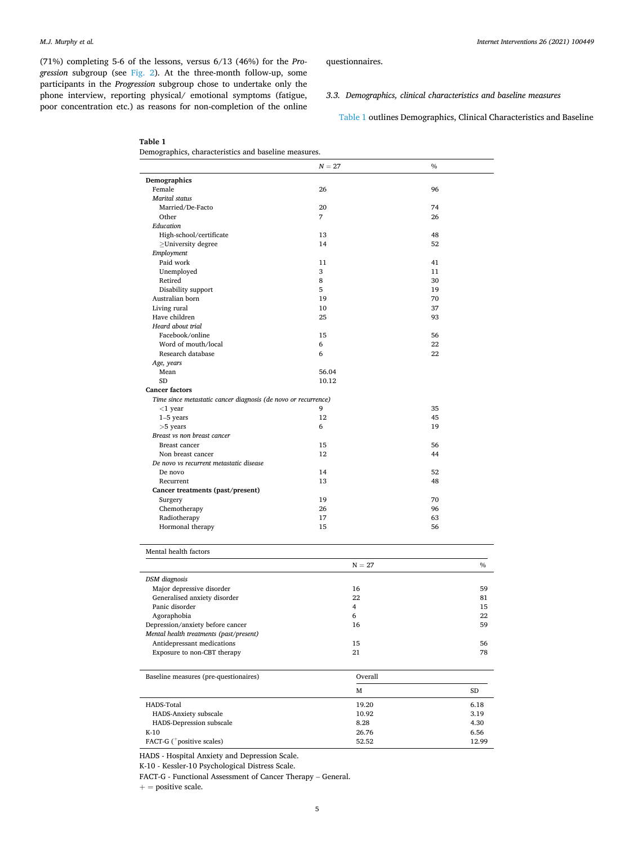(71%) completing 5-6 of the lessons, versus 6/13 (46%) for the *Progression* subgroup (see [Fig. 2](#page-3-0)). At the three-month follow-up, some participants in the *Progression* subgroup chose to undertake only the phone interview, reporting physical/ emotional symptoms (fatigue, poor concentration etc.) as reasons for non-completion of the online *Internet Interventions 26 (2021) 100449*

questionnaires.

## *3.3. Demographics, clinical characteristics and baseline measures*

Table 1 outlines Demographics, Clinical Characteristics and Baseline

**Table 1** 

|  | Demographics, characteristics and baseline measures. |  |  |  |
|--|------------------------------------------------------|--|--|--|
|--|------------------------------------------------------|--|--|--|

|                                                                | $N = 27$ | $\%$     |       |
|----------------------------------------------------------------|----------|----------|-------|
| Demographics                                                   |          |          |       |
| Female                                                         | 26       | 96       |       |
| <b>Marital</b> status                                          |          |          |       |
| Married/De-Facto                                               | 20       | 74       |       |
| Other                                                          | 7        | 26       |       |
| Education                                                      |          |          |       |
| High-school/certificate                                        | 13       | 48       |       |
| $\geq$ University degree                                       | 14       | 52       |       |
| Employment                                                     |          |          |       |
| Paid work                                                      | 11       | 41       |       |
| Unemployed                                                     | 3        | 11       |       |
| Retired                                                        | 8        | 30       |       |
| Disability support                                             | 5        | 19       |       |
| Australian born                                                | 19       | 70       |       |
| Living rural<br>Have children                                  | 10<br>25 | 37<br>93 |       |
| Heard about trial                                              |          |          |       |
| Facebook/online                                                | 15       | 56       |       |
| Word of mouth/local                                            | 6        | 22       |       |
| Research database                                              | 6        | 22       |       |
| Age, years                                                     |          |          |       |
| Mean                                                           | 56.04    |          |       |
| <b>SD</b>                                                      | 10.12    |          |       |
| <b>Cancer factors</b>                                          |          |          |       |
| Time since metastatic cancer diagnosis (de novo or recurrence) |          |          |       |
| $<$ 1 year                                                     | 9        | 35       |       |
| $1-5$ years                                                    | 12       | 45       |       |
| $>5$ years                                                     | 6        | 19       |       |
| Breast vs non breast cancer                                    |          |          |       |
| Breast cancer                                                  | 15       | 56       |       |
| Non breast cancer                                              | 12       | 44       |       |
| De novo vs recurrent metastatic disease                        |          |          |       |
| De novo                                                        | 14       | 52       |       |
| Recurrent                                                      | 13       | 48       |       |
| Cancer treatments (past/present)                               |          |          |       |
| Surgery                                                        | 19       | 70       |       |
| Chemotherapy                                                   | 26       | 96       |       |
| Radiotherapy                                                   | 17       | 63       |       |
| Hormonal therapy                                               | 15       | 56       |       |
| Mental health factors                                          |          |          |       |
|                                                                | $N = 27$ |          | $\%$  |
| DSM diagnosis                                                  |          |          |       |
| Major depressive disorder                                      | 16       |          | 59    |
| Generalised anxiety disorder                                   | 22       |          | 81    |
| Panic disorder                                                 | 4        |          | 15    |
| Agoraphobia                                                    | 6        |          | 22    |
| Depression/anxiety before cancer                               | 16       |          | 59    |
| Mental health treatments (past/present)                        |          |          |       |
| Antidepressant medications                                     | 15       |          | 56    |
| Exposure to non-CBT therapy                                    | 21       |          | 78    |
| Baseline measures (pre-questionaires)                          | Overall  |          |       |
|                                                                | М        |          | SD    |
| <b>HADS-Total</b>                                              | 19.20    |          | 6.18  |
| HADS-Anxiety subscale                                          | 10.92    |          | 3.19  |
| HADS-Depression subscale                                       | 8.28     |          | 4.30  |
| K-10                                                           | 26.76    |          | 6.56  |
| FACT-G ( <sup>+</sup> positive scales)                         | 52.52    |          | 12.99 |

HADS - Hospital Anxiety and Depression Scale.

K-10 - Kessler-10 Psychological Distress Scale.

FACT-G - Functional Assessment of Cancer Therapy – General.

 $+=$  positive scale.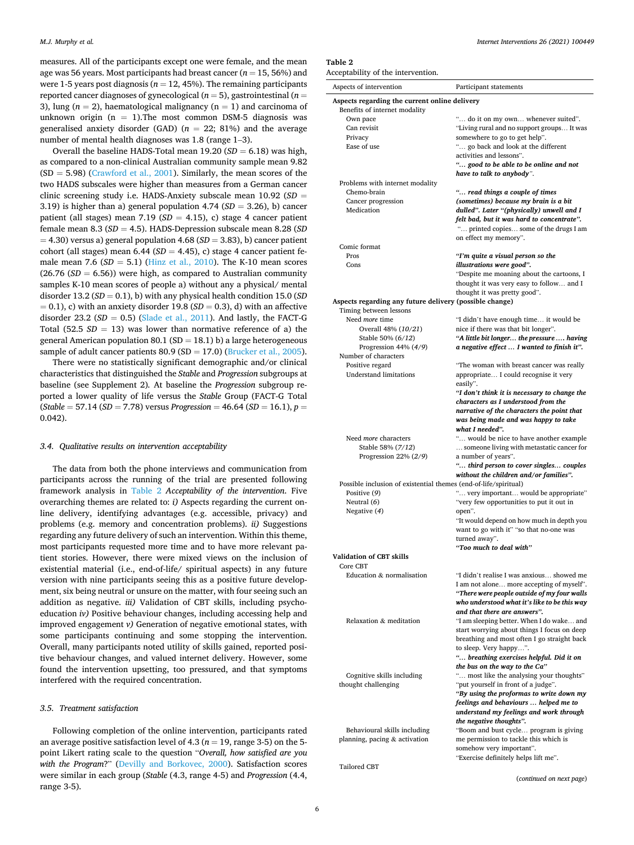measures. All of the participants except one were female, and the mean age was 56 years. Most participants had breast cancer (*n* = 15, 56%) and were 1-5 years post diagnosis ( $n = 12, 45%$ ). The remaining participants reported cancer diagnoses of gynecological (*n* = 5), gastrointestinal (*n* = 3), lung  $(n = 2)$ , haematological malignancy  $(n = 1)$  and carcinoma of unknown origin  $(n = 1)$ . The most common DSM-5 diagnosis was generalised anxiety disorder (GAD)  $(n = 22; 81%)$  and the average number of mental health diagnoses was 1.8 (range 1–3).

Overall the baseline HADS-Total mean  $19.20$  ( $SD = 6.18$ ) was high, as compared to a non-clinical Australian community sample mean 9.82  $(SD = 5.98)$  [\(Crawford et al., 2001\)](#page-8-0). Similarly, the mean scores of the two HADS subscales were higher than measures from a German cancer clinic screening study i.e. HADS-Anxiety subscale mean 10.92 (*SD* = 3.19) is higher than a) general population  $4.74$  ( $SD = 3.26$ ), b) cancer patient (all stages) mean 7.19 (*SD* = 4.15), c) stage 4 cancer patient female mean 8.3 (*SD* = 4.5). HADS-Depression subscale mean 8.28 (*SD*  = 4.30) versus a) general population 4.68 (*SD* = 3.83), b) cancer patient cohort (all stages) mean  $6.44$  ( $SD = 4.45$ ), c) stage 4 cancer patient female mean 7.6  $(SD = 5.1)$  [\(Hinz et al., 2010\)](#page-8-0). The K-10 mean scores  $(26.76 \,(SD = 6.56))$  were high, as compared to Australian community samples K-10 mean scores of people a) without any a physical/ mental disorder 13.2 ( $SD = 0.1$ ), b) with any physical health condition 15.0 ( $SD$ )  $= 0.1$ ), c) with an anxiety disorder 19.8 ( $SD = 0.3$ ), d) with an affective disorder  $23.2$  ( $SD = 0.5$ ) [\(Slade et al., 2011\)](#page-9-0). And lastly, the FACT-G Total (52.5  $SD = 13$ ) was lower than normative reference of a) the general American population 80.1 ( $SD = 18.1$ ) b) a large heterogeneous sample of adult cancer patients  $80.9$  (SD = 17.0) [\(Brucker et al., 2005](#page-8-0)).

There were no statistically significant demographic and/or clinical characteristics that distinguished the *Stable* and *Progression* subgroups at baseline (see Supplement 2)*.* At baseline the *Progression* subgroup reported a lower quality of life versus the *Stable* Group (FACT-G Total (*Stable* = 57.14 (*SD* = 7.78) versus *Progression* = 46.64 (*SD* = 16.1), *p* = 0.042).

#### *3.4. Qualitative results on intervention acceptability*

The data from both the phone interviews and communication from participants across the running of the trial are presented following framework analysis in Table 2 *Acceptability of the intervention*. Five overarching themes are related to: *i)* Aspects regarding the current online delivery, identifying advantages (e.g. accessible, privacy) and problems (e.g. memory and concentration problems). *ii)* Suggestions regarding any future delivery of such an intervention. Within this theme, most participants requested more time and to have more relevant patient stories. However, there were mixed views on the inclusion of existential material (i.e., end-of-life/ spiritual aspects) in any future version with nine participants seeing this as a positive future development, six being neutral or unsure on the matter, with four seeing such an addition as negative. *iii)* Validation of CBT skills, including psychoeducation *iv)* Positive behaviour changes, including accessing help and improved engagement *v)* Generation of negative emotional states, with some participants continuing and some stopping the intervention. Overall, many participants noted utility of skills gained, reported positive behaviour changes, and valued internet delivery. However, some found the intervention upsetting, too pressured, and that symptoms interfered with the required concentration.

#### *3.5. Treatment satisfaction*

Following completion of the online intervention, participants rated an average positive satisfaction level of 4.3 ( $n = 19$ , range 3-5) on the 5point Likert rating scale to the question "*Overall, how satisfied are you with the Program*?" ([Devilly and Borkovec, 2000\)](#page-8-0). Satisfaction scores were similar in each group (*Stable* (4.3, range 4-5) and *Progression* (4.4, range 3-5).

#### **Table 2**

| Acceptability of the intervention. |  |  |  |
|------------------------------------|--|--|--|
|------------------------------------|--|--|--|

| eceptability of the intervention.                                |                                                                                 |
|------------------------------------------------------------------|---------------------------------------------------------------------------------|
| Aspects of intervention                                          | Participant statements                                                          |
| Aspects regarding the current online delivery                    |                                                                                 |
| Benefits of internet modality                                    |                                                                                 |
| Own pace                                                         | " do it on my own whenever suited".                                             |
| Can revisit                                                      | "Living rural and no support groups It was                                      |
| Privacy                                                          | somewhere to go to get help".                                                   |
| Ease of use                                                      | " go back and look at the different                                             |
|                                                                  | activities and lessons".                                                        |
|                                                                  | " good to be able to be online and not                                          |
| Problems with internet modality                                  | have to talk to anybody".                                                       |
| Chemo-brain                                                      | " read things a couple of times                                                 |
| Cancer progression                                               | (sometimes) because my brain is a bit                                           |
| Medication                                                       | dulled". Later "(physically) unwell and I                                       |
|                                                                  | felt bad, but it was hard to concentrate".                                      |
|                                                                  | " printed copies some of the drugs I am                                         |
|                                                                  | on effect my memory".                                                           |
| Comic format                                                     |                                                                                 |
| Pros                                                             | ''I'm quite a visual person so the                                              |
| Cons                                                             | illustrations were good".                                                       |
|                                                                  | "Despite me moaning about the cartoons, I                                       |
|                                                                  | thought it was very easy to follow and I                                        |
|                                                                  | thought it was pretty good".                                                    |
| Aspects regarding any future delivery (possible change)          |                                                                                 |
| Timing between lessons                                           |                                                                                 |
| Need more time                                                   | "I didn't have enough time it would be                                          |
| Overall 48% (10/21)                                              | nice if there was that bit longer".                                             |
| Stable 50% (6/12)                                                | "A little bit longer the pressure  having                                       |
| Progression 44% $(4/9)$<br>Number of characters                  | a negative effect  I wanted to finish it".                                      |
| Positive regard                                                  | "The woman with breast cancer was really                                        |
| <b>Understand limitations</b>                                    | appropriate I could recognise it very                                           |
|                                                                  | easily".                                                                        |
|                                                                  | "I don't think it is necessary to change the                                    |
|                                                                  | characters as I understood from the                                             |
|                                                                  | narrative of the characters the point that                                      |
|                                                                  | was being made and was happy to take                                            |
|                                                                  | what I needed".                                                                 |
| Need <i>more</i> characters                                      | " would be nice to have another example                                         |
| Stable 58% (7/12)                                                | someone living with metastatic cancer for                                       |
| Progression 22% (2/9)                                            | a number of years".                                                             |
|                                                                  | " third person to cover singles couples                                         |
|                                                                  | without the children and/or families".                                          |
| Possible inclusion of existential themes (end-of-life/spiritual) |                                                                                 |
| Positive (9)                                                     | " very important would be appropriate"                                          |
| Neutral (6)<br>Negative (4)                                      | "very few opportunities to put it out in                                        |
|                                                                  | open".<br>"It would depend on how much in depth you                             |
|                                                                  | want to go with it" "so that no-one was                                         |
|                                                                  | turned away".                                                                   |
|                                                                  | "Too much to deal with"                                                         |
| Validation of CBT skills                                         |                                                                                 |
| Core CBT                                                         |                                                                                 |
| Education & normalisation                                        | "I didn't realise I was anxious showed me                                       |
|                                                                  | I am not alone more accepting of myself'.                                       |
|                                                                  | "There were people outside of my four walls                                     |
|                                                                  | who understood what it's like to be this way                                    |
|                                                                  | and that there are answers".                                                    |
| Relaxation & meditation                                          | "I am sleeping better. When I do wake and                                       |
|                                                                  | start worrying about things I focus on deep                                     |
|                                                                  | breathing and most often I go straight back                                     |
|                                                                  | to sleep. Very happy".                                                          |
|                                                                  | " breathing exercises helpful. Did it on                                        |
|                                                                  | the bus on the way to the Ca"                                                   |
| Cognitive skills including<br>thought challenging                | " most like the analysing your thoughts"                                        |
|                                                                  | "put yourself in front of a judge".<br>"By using the proformas to write down my |
|                                                                  | feelings and behaviours  helped me to                                           |
|                                                                  | understand my feelings and work through                                         |
|                                                                  | the negative thoughts".                                                         |
| Behavioural skills including                                     | "Boom and bust cycle program is giving                                          |
| planning, pacing & activation                                    | me permission to tackle this which is                                           |
|                                                                  | somehow very important".                                                        |
|                                                                  | "Exercise definitely helps lift me".                                            |
| Tailored CBT                                                     |                                                                                 |

(*continued on next page*)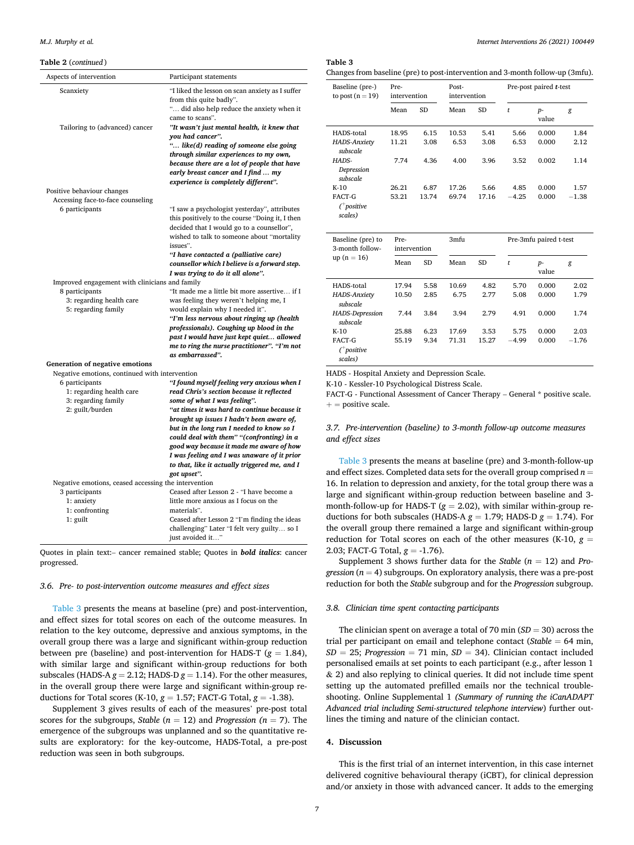#### **Table 2** (*continued* )

| Aspects of intervention                                                                                                                | Participant statements                                                                                                                                                                                                                                                                                                                                                                                                                                                     |
|----------------------------------------------------------------------------------------------------------------------------------------|----------------------------------------------------------------------------------------------------------------------------------------------------------------------------------------------------------------------------------------------------------------------------------------------------------------------------------------------------------------------------------------------------------------------------------------------------------------------------|
| Scanxiety<br>Tailoring to (advanced) cancer                                                                                            | "I liked the lesson on scan anxiety as I suffer<br>from this quite badly".<br>" did also help reduce the anxiety when it<br>came to scans".<br>"It wasn't just mental health, it knew that<br>you had cancer".<br>" like(d) reading of someone else going<br>through similar experiences to my own,<br>because there are a lot of people that have<br>early breast cancer and I find  my<br>experience is completely different".                                           |
| Positive behaviour changes<br>Accessing face-to-face counseling                                                                        |                                                                                                                                                                                                                                                                                                                                                                                                                                                                            |
| 6 participants                                                                                                                         | "I saw a psychologist yesterday", attributes<br>this positively to the course "Doing it, I then<br>decided that I would go to a counsellor",<br>wished to talk to someone about "mortality<br>issues".<br>"I have contacted a (palliative care)<br>counsellor which I believe is a forward step.<br>I was trying to do it all alone".                                                                                                                                      |
| Improved engagement with clinicians and family                                                                                         |                                                                                                                                                                                                                                                                                                                                                                                                                                                                            |
| 8 participants<br>3: regarding health care<br>5: regarding family                                                                      | "It made me a little bit more assertive if I<br>was feeling they weren't helping me, I<br>would explain why I needed it".<br>"I'm less nervous about ringing up (health<br>professionals). Coughing up blood in the<br>past I would have just kept quiet allowed<br>me to ring the nurse practitioner". "I'm not<br>as embarrassed".                                                                                                                                       |
| Generation of negative emotions                                                                                                        |                                                                                                                                                                                                                                                                                                                                                                                                                                                                            |
| Negative emotions, continued with intervention<br>6 participants<br>1: regarding health care<br>3: regarding family<br>2: guilt/burden | "I found myself feeling very anxious when I<br>read Chris's section because it reflected<br>some of what I was feeling".<br>"at times it was hard to continue because it<br>brought up issues I hadn't been aware of,<br>but in the long run I needed to know so I<br>could deal with them" "(confronting) in a<br>good way because it made me aware of how<br>I was feeling and I was unaware of it prior<br>to that, like it actually triggered me, and I<br>got upset". |
| Negative emotions, ceased accessing the intervention                                                                                   |                                                                                                                                                                                                                                                                                                                                                                                                                                                                            |
| 3 participants<br>1: anxiety<br>1: confronting<br>1: guilt                                                                             | Ceased after Lesson 2 - "I have become a<br>little more anxious as I focus on the<br>materials".<br>Ceased after Lesson 2 "I'm finding the ideas<br>challenging" Later "I felt very guilty so I<br>just avoided it"                                                                                                                                                                                                                                                        |

Quotes in plain text:– cancer remained stable; Quotes in *bold italics*: cancer progressed.

#### *3.6. Pre- to post-intervention outcome measures and effect sizes*

Table 3 presents the means at baseline (pre) and post-intervention, and effect sizes for total scores on each of the outcome measures. In relation to the key outcome, depressive and anxious symptoms, in the overall group there was a large and significant within-group reduction between pre (baseline) and post-intervention for HADS-T (*g* = 1.84), with similar large and significant within-group reductions for both subscales (HADS-A  $g = 2.12$ ; HADS-D  $g = 1.14$ ). For the other measures, in the overall group there were large and significant within-group reductions for Total scores (K-10, *g* = 1.57; FACT-G Total, *g* = -1.38).

Supplement 3 gives results of each of the measures' pre-post total scores for the subgroups, *Stable*  $(n = 12)$  and *Progression*  $(n = 7)$ . The emergence of the subgroups was unplanned and so the quantitative results are exploratory: for the key-outcome, HADS-Total, a pre-post reduction was seen in both subgroups.

## **Table 3**

| Changes from baseline (pre) to post-intervention and 3-month follow-up (3mfu). |
|--------------------------------------------------------------------------------|
|--------------------------------------------------------------------------------|

| Baseline (pre-)<br>to post $(n = 19)$          | Pre-<br>intervention |           | Post-<br>intervention |           | Pre-post paired <i>t</i> -test |               |         |
|------------------------------------------------|----------------------|-----------|-----------------------|-----------|--------------------------------|---------------|---------|
|                                                | Mean                 | <b>SD</b> | Mean                  | <b>SD</b> | t                              | $p-$<br>value | g       |
| HADS-total                                     | 18.95                | 6.15      | 10.53                 | 5.41      | 5.66                           | 0.000         | 1.84    |
| <b>HADS-Anxiety</b><br>subscale                | 11.21                | 3.08      | 6.53                  | 3.08      | 6.53                           | 0.000         | 2.12    |
| HADS-<br>Depression<br>subscale                | 7.74                 | 4.36      | 4.00                  | 3.96      | 3.52                           | 0.002         | 1.14    |
| $K-10$                                         | 26.21                | 6.87      | 17.26                 | 5.66      | 4.85                           | 0.000         | 1.57    |
| FACT-G<br>$($ <sup>+</sup> positive<br>scales) | 53.21                | 13.74     | 69.74                 | 17.16     | $-4.25$                        | 0.000         | $-1.38$ |

| Baseline (pre) to<br>3-month follow-           | Pre-<br>intervention |           | 3mfu  |           | Pre-3mfu paired t-test |               |         |
|------------------------------------------------|----------------------|-----------|-------|-----------|------------------------|---------------|---------|
| $up(n = 16)$                                   | Mean                 | <b>SD</b> | Mean  | <b>SD</b> | t                      | $p-$<br>value | g       |
| HADS-total                                     | 17.94                | 5.58      | 10.69 | 4.82      | 5.70                   | 0.000         | 2.02    |
| <b>HADS-Anxiety</b><br>subscale                | 10.50                | 2.85      | 6.75  | 2.77      | 5.08                   | 0.000         | 1.79    |
| HADS-Depression<br>subscale                    | 7.44                 | 3.84      | 3.94  | 2.79      | 4.91                   | 0.000         | 1.74    |
| $K-10$                                         | 25.88                | 6.23      | 17.69 | 3.53      | 5.75                   | 0.000         | 2.03    |
| FACT-G<br>$($ <sup>+</sup> positive<br>scales) | 55.19                | 9.34      | 71.31 | 15.27     | $-4.99$                | 0.000         | $-1.76$ |

HADS - Hospital Anxiety and Depression Scale.

K-10 - Kessler-10 Psychological Distress Scale.

FACT-G - Functional Assessment of Cancer Therapy – General \* positive scale.  $+=$  positive scale.

## *3.7. Pre-intervention (baseline) to 3-month follow-up outcome measures and effect sizes*

Table 3 presents the means at baseline (pre) and 3-month-follow-up and effect sizes. Completed data sets for the overall group comprised  $n =$ 16. In relation to depression and anxiety, for the total group there was a large and significant within-group reduction between baseline and 3 month-follow-up for HADS-T (*g* = 2.02), with similar within-group reductions for both subscales (HADS-A  $g = 1.79$ ; HADS-D  $g = 1.74$ ). For the overall group there remained a large and significant within-group reduction for Total scores on each of the other measures (K-10, *g* = 2.03; FACT-G Total, *g* = -1.76).

Supplement 3 shows further data for the *Stable*  $(n = 12)$  and *Progression*  $(n = 4)$  subgroups. On exploratory analysis, there was a pre-post reduction for both the *Stable* subgroup and for the *Progression* subgroup.

#### *3.8. Clinician time spent contacting participants*

The clinician spent on average a total of 70 min (*SD* = 30) across the trial per participant on email and telephone contact (*Stable* = 64 min,  $SD = 25$ ; *Progression* = 71 min,  $SD = 34$ ). Clinician contact included personalised emails at set points to each participant (e.g., after lesson 1 & 2) and also replying to clinical queries. It did not include time spent setting up the automated prefilled emails nor the technical troubleshooting. Online Supplemental 1 *(Summary of running the iCanADAPT Advanced trial including Semi-structured telephone interview*) further outlines the timing and nature of the clinician contact.

## **4. Discussion**

This is the first trial of an internet intervention, in this case internet delivered cognitive behavioural therapy (iCBT), for clinical depression and/or anxiety in those with advanced cancer. It adds to the emerging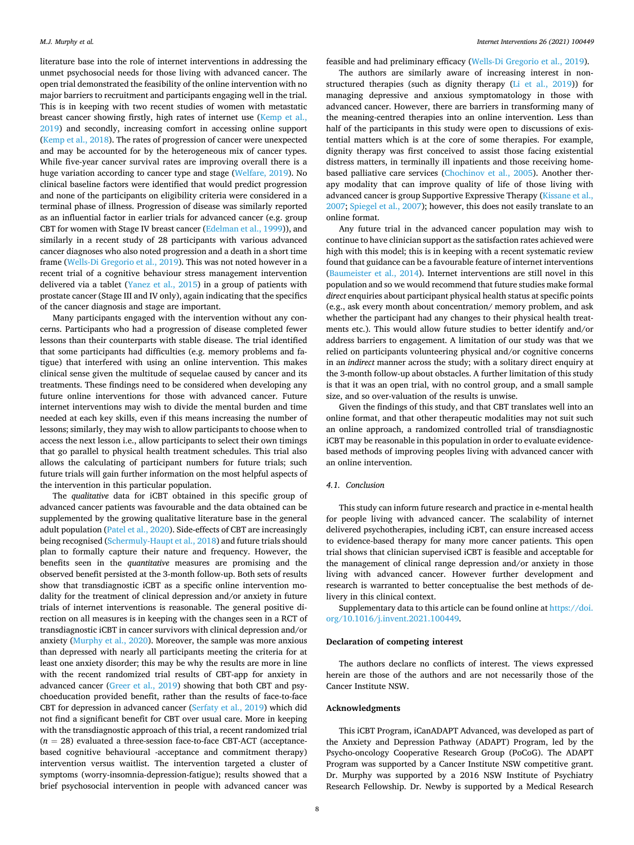literature base into the role of internet interventions in addressing the unmet psychosocial needs for those living with advanced cancer. The open trial demonstrated the feasibility of the online intervention with no major barriers to recruitment and participants engaging well in the trial. This is in keeping with two recent studies of women with metastatic breast cancer showing firstly, high rates of internet use ([Kemp et al.,](#page-8-0)  [2019\)](#page-8-0) and secondly, increasing comfort in accessing online support ([Kemp et al., 2018](#page-8-0)). The rates of progression of cancer were unexpected and may be accounted for by the heterogeneous mix of cancer types. While five-year cancer survival rates are improving overall there is a huge variation according to cancer type and stage ([Welfare, 2019\)](#page-9-0). No clinical baseline factors were identified that would predict progression and none of the participants on eligibility criteria were considered in a terminal phase of illness. Progression of disease was similarly reported as an influential factor in earlier trials for advanced cancer (e.g. group CBT for women with Stage IV breast cancer ([Edelman et al., 1999](#page-8-0))), and similarly in a recent study of 28 participants with various advanced cancer diagnoses who also noted progression and a death in a short time frame [\(Wells-Di Gregorio et al., 2019\)](#page-9-0). This was not noted however in a recent trial of a cognitive behaviour stress management intervention delivered via a tablet [\(Yanez et al., 2015\)](#page-9-0) in a group of patients with prostate cancer (Stage III and IV only), again indicating that the specifics of the cancer diagnosis and stage are important.

Many participants engaged with the intervention without any concerns. Participants who had a progression of disease completed fewer lessons than their counterparts with stable disease. The trial identified that some participants had difficulties (e.g. memory problems and fatigue) that interfered with using an online intervention. This makes clinical sense given the multitude of sequelae caused by cancer and its treatments. These findings need to be considered when developing any future online interventions for those with advanced cancer. Future internet interventions may wish to divide the mental burden and time needed at each key skills, even if this means increasing the number of lessons; similarly, they may wish to allow participants to choose when to access the next lesson i.e., allow participants to select their own timings that go parallel to physical health treatment schedules. This trial also allows the calculating of participant numbers for future trials; such future trials will gain further information on the most helpful aspects of the intervention in this particular population.

The *qualitative* data for iCBT obtained in this specific group of advanced cancer patients was favourable and the data obtained can be supplemented by the growing qualitative literature base in the general adult population ([Patel et al., 2020](#page-9-0)). Side-effects of CBT are increasingly being recognised [\(Schermuly-Haupt et al., 2018](#page-9-0)) and future trials should plan to formally capture their nature and frequency. However, the benefits seen in the *quantitative* measures are promising and the observed benefit persisted at the 3-month follow-up. Both sets of results show that transdiagnostic iCBT as a specific online intervention modality for the treatment of clinical depression and/or anxiety in future trials of internet interventions is reasonable. The general positive direction on all measures is in keeping with the changes seen in a RCT of transdiagnostic iCBT in cancer survivors with clinical depression and/or anxiety ([Murphy et al., 2020\)](#page-8-0). Moreover, the sample was more anxious than depressed with nearly all participants meeting the criteria for at least one anxiety disorder; this may be why the results are more in line with the recent randomized trial results of CBT-app for anxiety in advanced cancer ([Greer et al., 2019\)](#page-8-0) showing that both CBT and psychoeducation provided benefit, rather than the results of face-to-face CBT for depression in advanced cancer ([Serfaty et al., 2019\)](#page-9-0) which did not find a significant benefit for CBT over usual care. More in keeping with the transdiagnostic approach of this trial, a recent randomized trial  $(n = 28)$  evaluated a three-session face-to-face CBT-ACT (acceptancebased cognitive behavioural -acceptance and commitment therapy) intervention versus waitlist. The intervention targeted a cluster of symptoms (worry-insomnia-depression-fatigue); results showed that a brief psychosocial intervention in people with advanced cancer was

feasible and had preliminary efficacy [\(Wells-Di Gregorio et al., 2019\)](#page-9-0).

The authors are similarly aware of increasing interest in nonstructured therapies (such as dignity therapy [\(Li et al., 2019](#page-8-0))) for managing depressive and anxious symptomatology in those with advanced cancer. However, there are barriers in transforming many of the meaning-centred therapies into an online intervention. Less than half of the participants in this study were open to discussions of existential matters which is at the core of some therapies. For example, dignity therapy was first conceived to assist those facing existential distress matters, in terminally ill inpatients and those receiving homebased palliative care services ([Chochinov et al., 2005\)](#page-8-0). Another therapy modality that can improve quality of life of those living with advanced cancer is group Supportive Expressive Therapy [\(Kissane et al.,](#page-8-0)  [2007;](#page-8-0) [Spiegel et al., 2007](#page-9-0)); however, this does not easily translate to an online format.

Any future trial in the advanced cancer population may wish to continue to have clinician support as the satisfaction rates achieved were high with this model; this is in keeping with a recent systematic review found that guidance can be a favourable feature of internet interventions ([Baumeister et al., 2014\)](#page-8-0). Internet interventions are still novel in this population and so we would recommend that future studies make formal *direct* enquiries about participant physical health status at specific points (e.g., ask every month about concentration/ memory problem, and ask whether the participant had any changes to their physical health treatments etc.). This would allow future studies to better identify and/or address barriers to engagement. A limitation of our study was that we relied on participants volunteering physical and/or cognitive concerns in an *indirect* manner across the study; with a solitary direct enquiry at the 3-month follow-up about obstacles. A further limitation of this study is that it was an open trial, with no control group, and a small sample size, and so over-valuation of the results is unwise.

Given the findings of this study, and that CBT translates well into an online format, and that other therapeutic modalities may not suit such an online approach, a randomized controlled trial of transdiagnostic iCBT may be reasonable in this population in order to evaluate evidencebased methods of improving peoples living with advanced cancer with an online intervention.

## *4.1. Conclusion*

This study can inform future research and practice in e-mental health for people living with advanced cancer. The scalability of internet delivered psychotherapies, including iCBT, can ensure increased access to evidence-based therapy for many more cancer patients. This open trial shows that clinician supervised iCBT is feasible and acceptable for the management of clinical range depression and/or anxiety in those living with advanced cancer. However further development and research is warranted to better conceptualise the best methods of delivery in this clinical context.

Supplementary data to this article can be found online at [https://doi.](https://doi.org/10.1016/j.invent.2021.100449)  [org/10.1016/j.invent.2021.100449](https://doi.org/10.1016/j.invent.2021.100449).

## **Declaration of competing interest**

The authors declare no conflicts of interest. The views expressed herein are those of the authors and are not necessarily those of the Cancer Institute NSW.

#### **Acknowledgments**

This iCBT Program, iCanADAPT Advanced, was developed as part of the Anxiety and Depression Pathway (ADAPT) Program, led by the Psycho-oncology Cooperative Research Group (PoCoG). The ADAPT Program was supported by a Cancer Institute NSW competitive grant. Dr. Murphy was supported by a 2016 NSW Institute of Psychiatry Research Fellowship. Dr. Newby is supported by a Medical Research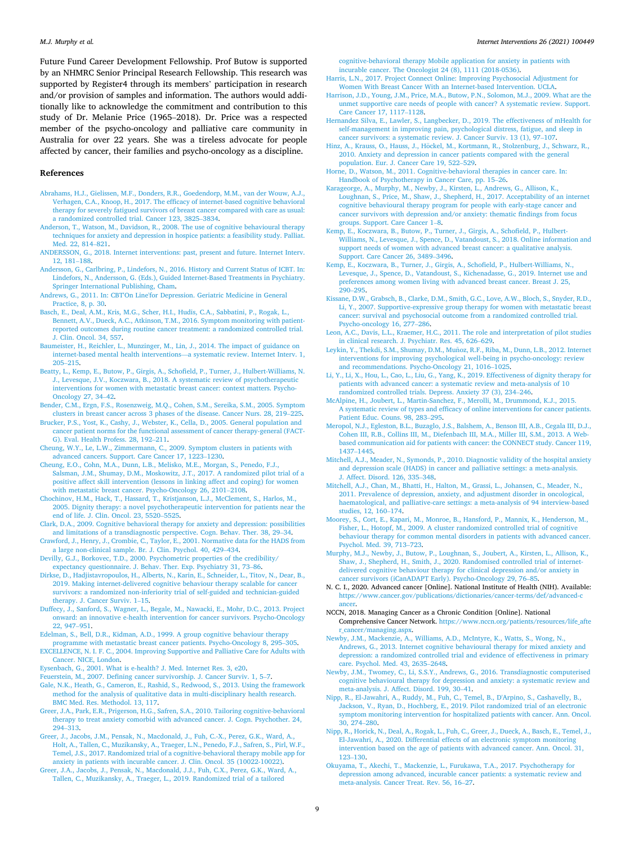<span id="page-8-0"></span>Future Fund Career Development Fellowship. Prof Butow is supported by an NHMRC Senior Principal Research Fellowship. This research was supported by Register4 through its members' participation in research and/or provision of samples and information. The authors would additionally like to acknowledge the commitment and contribution to this study of Dr. Melanie Price (1965–2018). Dr. Price was a respected member of the psycho-oncology and palliative care community in Australia for over 22 years. She was a tireless advocate for people affected by cancer, their families and psycho-oncology as a discipline.

#### **References**

- [Abrahams, H.J., Gielissen, M.F., Donders, R.R., Goedendorp, M.M., van der Wouw, A.J.,](http://refhub.elsevier.com/S2214-7829(21)00089-0/rf202108281955157359)  [Verhagen, C.A., Knoop, H., 2017. The efficacy of internet-based cognitive behavioral](http://refhub.elsevier.com/S2214-7829(21)00089-0/rf202108281955157359)  [therapy for severely fatigued survivors of breast cancer compared with care as usual:](http://refhub.elsevier.com/S2214-7829(21)00089-0/rf202108281955157359)  [a randomized controlled trial. Cancer 123, 3825](http://refhub.elsevier.com/S2214-7829(21)00089-0/rf202108281955157359)–3834.
- [Anderson, T., Watson, M., Davidson, R., 2008. The use of cognitive behavioural therapy](http://refhub.elsevier.com/S2214-7829(21)00089-0/rf202108282017366322)  [techniques for anxiety and depression in hospice patients: a feasibility study. Palliat.](http://refhub.elsevier.com/S2214-7829(21)00089-0/rf202108282017366322)  [Med. 22, 814](http://refhub.elsevier.com/S2214-7829(21)00089-0/rf202108282017366322)–821.
- [ANDERSSON, G., 2018. Internet interventions: past, present and future. Internet Interv.](http://refhub.elsevier.com/S2214-7829(21)00089-0/rf202108282010072636)  [12, 181](http://refhub.elsevier.com/S2214-7829(21)00089-0/rf202108282010072636)–188.
- [Andersson, G., Carlbring, P., Lindefors, N., 2016. History and Current Status of ICBT. In:](http://refhub.elsevier.com/S2214-7829(21)00089-0/rf202108282004061958)  [Lindefors, N., Andersson, G. \(Eds.\), Guided Internet-Based Treatments in Psychiatry.](http://refhub.elsevier.com/S2214-7829(21)00089-0/rf202108282004061958)  [Springer International Publishing, Cham](http://refhub.elsevier.com/S2214-7829(21)00089-0/rf202108282004061958).
- [Andrews, G., 2011. In: CBT'On Line'for Depression. Geriatric Medicine in General](http://refhub.elsevier.com/S2214-7829(21)00089-0/rf202108282010454371)  [Practice, 8, p. 30](http://refhub.elsevier.com/S2214-7829(21)00089-0/rf202108282010454371).
- [Basch, E., Deal, A.M., Kris, M.G., Scher, H.I., Hudis, C.A., Sabbatini, P., Rogak, L.,](http://refhub.elsevier.com/S2214-7829(21)00089-0/rf202108282004105005)  [Bennett, A.V., Dueck, A.C., Atkinson, T.M., 2016. Symptom monitoring with patient](http://refhub.elsevier.com/S2214-7829(21)00089-0/rf202108282004105005)[reported outcomes during routine cancer treatment: a randomized controlled trial.](http://refhub.elsevier.com/S2214-7829(21)00089-0/rf202108282004105005) [J. Clin. Oncol. 34, 557](http://refhub.elsevier.com/S2214-7829(21)00089-0/rf202108282004105005).
- [Baumeister, H., Reichler, L., Munzinger, M., Lin, J., 2014. The impact of guidance on](http://refhub.elsevier.com/S2214-7829(21)00089-0/rf202108282011008742)  [internet-based mental health interventions](http://refhub.elsevier.com/S2214-7829(21)00089-0/rf202108282011008742)—a systematic review. Internet Interv. 1, 205–[215](http://refhub.elsevier.com/S2214-7829(21)00089-0/rf202108282011008742).
- [Beatty, L., Kemp, E., Butow, P., Girgis, A., Schofield, P., Turner, J., Hulbert-Williams, N.](http://refhub.elsevier.com/S2214-7829(21)00089-0/rf202108282017376694)  [J., Levesque, J.V., Koczwara, B., 2018. A systematic review of psychotherapeutic](http://refhub.elsevier.com/S2214-7829(21)00089-0/rf202108282017376694)  [interventions for women with metastatic breast cancer: context matters. Psycho-](http://refhub.elsevier.com/S2214-7829(21)00089-0/rf202108282017376694)[Oncology 27, 34](http://refhub.elsevier.com/S2214-7829(21)00089-0/rf202108282017376694)–42.
- [Bender, C.M., Ergn, F.S., Rosenzweig, M.Q., Cohen, S.M., Sereika, S.M., 2005. Symptom](http://refhub.elsevier.com/S2214-7829(21)00089-0/rf202108282011322588)  [clusters in breast cancer across 3 phases of the disease. Cancer Nurs. 28, 219](http://refhub.elsevier.com/S2214-7829(21)00089-0/rf202108282011322588)–225.
- [Brucker, P.S., Yost, K., Cashy, J., Webster, K., Cella, D., 2005. General population and](http://refhub.elsevier.com/S2214-7829(21)00089-0/rf202108282017496009)  [cancer patient norms for the functional assessment of cancer therapy-general \(FACT-](http://refhub.elsevier.com/S2214-7829(21)00089-0/rf202108282017496009)[G\). Eval. Health Profess. 28, 192](http://refhub.elsevier.com/S2214-7829(21)00089-0/rf202108282017496009)–211.
- [Cheung, W.Y., Le, L.W., Zimmermann, C., 2009. Symptom clusters in patients with](http://refhub.elsevier.com/S2214-7829(21)00089-0/rf202108282017526857)  [advanced cancers. Support. Care Cancer 17, 1223](http://refhub.elsevier.com/S2214-7829(21)00089-0/rf202108282017526857)–1230.
- [Cheung, E.O., Cohn, M.A., Dunn, L.B., Melisko, M.E., Morgan, S., Penedo, F.J.,](http://refhub.elsevier.com/S2214-7829(21)00089-0/rf202108282017509371) [Salsman, J.M., Shumay, D.M., Moskowitz, J.T., 2017. A randomized pilot trial of a](http://refhub.elsevier.com/S2214-7829(21)00089-0/rf202108282017509371)  [positive affect skill intervention \(lessons in linking affect and coping\) for women](http://refhub.elsevier.com/S2214-7829(21)00089-0/rf202108282017509371) [with metastatic breast cancer. Psycho-Oncology 26, 2101](http://refhub.elsevier.com/S2214-7829(21)00089-0/rf202108282017509371)–2108.
- [Chochinov, H.M., Hack, T., Hassard, T., Kristjanson, L.J., McClement, S., Harlos, M.,](http://refhub.elsevier.com/S2214-7829(21)00089-0/rf202108282017541263)  [2005. Dignity therapy: a novel psychotherapeutic intervention for patients near the](http://refhub.elsevier.com/S2214-7829(21)00089-0/rf202108282017541263)  [end of life. J. Clin. Oncol. 23, 5520](http://refhub.elsevier.com/S2214-7829(21)00089-0/rf202108282017541263)–5525.
- [Clark, D.A., 2009. Cognitive behavioral therapy for anxiety and depression: possibilities](http://refhub.elsevier.com/S2214-7829(21)00089-0/rf202108282012161057)  [and limitations of a transdiagnostic perspective. Cogn. Behav. Ther. 38, 29](http://refhub.elsevier.com/S2214-7829(21)00089-0/rf202108282012161057)–34.
- [Crawford, J., Henry, J., Crombie, C., Taylor, E., 2001. Normative data for the HADS from](http://refhub.elsevier.com/S2214-7829(21)00089-0/rf202108282004131673)  [a large non-clinical sample. Br. J. Clin. Psychol. 40, 429](http://refhub.elsevier.com/S2214-7829(21)00089-0/rf202108282004131673)–434.
- [Devilly, G.J., Borkovec, T.D., 2000. Psychometric properties of the credibility/](http://refhub.elsevier.com/S2214-7829(21)00089-0/rf202108282017571081)  [expectancy questionnaire. J. Behav. Ther. Exp. Psychiatry 31, 73](http://refhub.elsevier.com/S2214-7829(21)00089-0/rf202108282017571081)–86.
- [Dirkse, D., Hadjistavropoulos, H., Alberts, N., Karin, E., Schneider, L., Titov, N., Dear, B.,](http://refhub.elsevier.com/S2214-7829(21)00089-0/rf202108282004150575)  [2019. Making internet-delivered cognitive behaviour therapy scalable for cancer](http://refhub.elsevier.com/S2214-7829(21)00089-0/rf202108282004150575) [survivors: a randomized non-inferiority trial of self-guided and technician-guided](http://refhub.elsevier.com/S2214-7829(21)00089-0/rf202108282004150575) [therapy. J. Cancer Surviv. 1](http://refhub.elsevier.com/S2214-7829(21)00089-0/rf202108282004150575)–15.
- [Duffecy, J., Sanford, S., Wagner, L., Begale, M., Nawacki, E., Mohr, D.C., 2013. Project](http://refhub.elsevier.com/S2214-7829(21)00089-0/rf202108282017599948) [onward: an innovative e-health intervention for cancer survivors. Psycho-Oncology](http://refhub.elsevier.com/S2214-7829(21)00089-0/rf202108282017599948)  [22, 947](http://refhub.elsevier.com/S2214-7829(21)00089-0/rf202108282017599948)–951.
- [Edelman, S., Bell, D.R., Kidman, A.D., 1999. A group cognitive behaviour therapy](http://refhub.elsevier.com/S2214-7829(21)00089-0/rf202108282018007577) [programme with metastatic breast cancer patients. Psycho-Oncology 8, 295](http://refhub.elsevier.com/S2214-7829(21)00089-0/rf202108282018007577)–305. [EXCELLENCE, N. I. F. C., 2004. Improving Supportive and Palliative Care for Adults with](http://refhub.elsevier.com/S2214-7829(21)00089-0/rf202108282004428299)  [Cancer. NICE, London](http://refhub.elsevier.com/S2214-7829(21)00089-0/rf202108282004428299).
- [Eysenbach, G., 2001. What is e-health? J. Med. Internet Res. 3, e20.](http://refhub.elsevier.com/S2214-7829(21)00089-0/rf202108282012385020)
- [Feuerstein, M., 2007. Defining cancer survivorship. J. Cancer Surviv. 1, 5](http://refhub.elsevier.com/S2214-7829(21)00089-0/rf202108282013373855)–7.
- [Gale, N.K., Heath, G., Cameron, E., Rashid, S., Redwood, S., 2013. Using the framework](http://refhub.elsevier.com/S2214-7829(21)00089-0/rf202108282018033032)  [method for the analysis of qualitative data in multi-disciplinary health research.](http://refhub.elsevier.com/S2214-7829(21)00089-0/rf202108282018033032)  [BMC Med. Res. Methodol. 13, 117.](http://refhub.elsevier.com/S2214-7829(21)00089-0/rf202108282018033032)
- [Greer, J.A., Park, E.R., Prigerson, H.G., Safren, S.A., 2010. Tailoring cognitive-behavioral](http://refhub.elsevier.com/S2214-7829(21)00089-0/rf202108282018088565)  [therapy to treat anxiety comorbid with advanced cancer. J. Cogn. Psychother. 24,](http://refhub.elsevier.com/S2214-7829(21)00089-0/rf202108282018088565)  294–[313](http://refhub.elsevier.com/S2214-7829(21)00089-0/rf202108282018088565).
- [Greer, J., Jacobs, J.M., Pensak, N., Macdonald, J., Fuh, C.-X., Perez, G.K., Ward, A.,](http://refhub.elsevier.com/S2214-7829(21)00089-0/rf202108282018046101) [Holt, A., Tallen, C., Muzikansky, A., Traeger, L.N., Penedo, F.J., Safren, S., Pirl, W.F.,](http://refhub.elsevier.com/S2214-7829(21)00089-0/rf202108282018046101)  [Temel, J.S., 2017. Randomized trial of a cognitive-behavioral therapy mobile app for](http://refhub.elsevier.com/S2214-7829(21)00089-0/rf202108282018046101)  [anxiety in patients with incurable cancer. J. Clin. Oncol. 35 \(10022-10022\)](http://refhub.elsevier.com/S2214-7829(21)00089-0/rf202108282018046101).
- [Greer, J.A., Jacobs, J., Pensak, N., Macdonald, J.J., Fuh, C.X., Perez, G.K., Ward, A.,](http://refhub.elsevier.com/S2214-7829(21)00089-0/rf202108282004597486)  [Tallen, C., Muzikansky, A., Traeger, L., 2019. Randomized trial of a tailored](http://refhub.elsevier.com/S2214-7829(21)00089-0/rf202108282004597486)

[cognitive-behavioral therapy Mobile application for anxiety in patients with](http://refhub.elsevier.com/S2214-7829(21)00089-0/rf202108282004597486)  [incurable cancer. The Oncologist 24 \(8\), 1111 \(2018-0536\)](http://refhub.elsevier.com/S2214-7829(21)00089-0/rf202108282004597486).

- [Harris, L.N., 2017. Project Connect Online: Improving Psychosocial Adjustment for](http://refhub.elsevier.com/S2214-7829(21)00089-0/rf202108282014079023) [Women With Breast Cancer With an Internet-based Intervention. UCLA.](http://refhub.elsevier.com/S2214-7829(21)00089-0/rf202108282014079023)
- [Harrison, J.D., Young, J.M., Price, M.A., Butow, P.N., Solomon, M.J., 2009. What are the](http://refhub.elsevier.com/S2214-7829(21)00089-0/rf202108282018104949)  [unmet supportive care needs of people with cancer? A systematic review. Support.](http://refhub.elsevier.com/S2214-7829(21)00089-0/rf202108282018104949)  [Care Cancer 17, 1117](http://refhub.elsevier.com/S2214-7829(21)00089-0/rf202108282018104949)–1128.
- [Hernandez Silva, E., Lawler, S., Langbecker, D., 2019. The effectiveness of mHealth for](http://refhub.elsevier.com/S2214-7829(21)00089-0/rf202108282014373287)  [self-management in improving pain, psychological distress, fatigue, and sleep in](http://refhub.elsevier.com/S2214-7829(21)00089-0/rf202108282014373287) [cancer survivors: a systematic review. J. Cancer Surviv. 13 \(1\), 97](http://refhub.elsevier.com/S2214-7829(21)00089-0/rf202108282014373287)–107.
- Hinz, A., Krauss, O., Hauss, J., Höckel, M., Kortmann, R., Stolzenburg, J., Schwarz, R., [2010. Anxiety and depression in cancer patients compared with the general](http://refhub.elsevier.com/S2214-7829(21)00089-0/rf202108282018219631)  [population. Eur. J. Cancer Care 19, 522](http://refhub.elsevier.com/S2214-7829(21)00089-0/rf202108282018219631)–529.
- [Horne, D., Watson, M., 2011. Cognitive-behavioral therapies in cancer care. In:](http://refhub.elsevier.com/S2214-7829(21)00089-0/rf202108282018429967) [Handbook of Psychotherapy in Cancer Care, pp. 15](http://refhub.elsevier.com/S2214-7829(21)00089-0/rf202108282018429967)–26.
- [Karageorge, A., Murphy, M., Newby, J., Kirsten, L., Andrews, G., Allison, K.,](http://refhub.elsevier.com/S2214-7829(21)00089-0/rf202108282005531146) [Loughnan, S., Price, M., Shaw, J., Shepherd, H., 2017. Acceptability of an internet](http://refhub.elsevier.com/S2214-7829(21)00089-0/rf202108282005531146) [cognitive behavioural therapy program for people with early-stage cancer and](http://refhub.elsevier.com/S2214-7829(21)00089-0/rf202108282005531146)  [cancer survivors with depression and/or anxiety: thematic findings from focus](http://refhub.elsevier.com/S2214-7829(21)00089-0/rf202108282005531146) [groups. Support. Care Cancer 1](http://refhub.elsevier.com/S2214-7829(21)00089-0/rf202108282005531146)–8.
- [Kemp, E., Koczwara, B., Butow, P., Turner, J., Girgis, A., Schofield, P., Hulbert-](http://refhub.elsevier.com/S2214-7829(21)00089-0/rf202108282005554429)Williams, N., Levesque, J., Spence, D., Vatandoust, S., 2018. Online information and [support needs of women with advanced breast cancer: a qualitative analysis.](http://refhub.elsevier.com/S2214-7829(21)00089-0/rf202108282005554429)  [Support. Care Cancer 26, 3489](http://refhub.elsevier.com/S2214-7829(21)00089-0/rf202108282005554429)–3496.
- [Kemp, E., Koczwara, B., Turner, J., Girgis, A., Schofield, P., Hulbert-Williams, N.,](http://refhub.elsevier.com/S2214-7829(21)00089-0/rf202108282005561733) [Levesque, J., Spence, D., Vatandoust, S., Kichenadasse, G., 2019. Internet use and](http://refhub.elsevier.com/S2214-7829(21)00089-0/rf202108282005561733)  [preferences among women living with advanced breast cancer. Breast J. 25,](http://refhub.elsevier.com/S2214-7829(21)00089-0/rf202108282005561733)  290–[295](http://refhub.elsevier.com/S2214-7829(21)00089-0/rf202108282005561733).
- [Kissane, D.W., Grabsch, B., Clarke, D.M., Smith, G.C., Love, A.W., Bloch, S., Snyder, R.D.,](http://refhub.elsevier.com/S2214-7829(21)00089-0/rf202108282006282957)  [Li, Y., 2007. Supportive-expressive group therapy for women with metastatic breast](http://refhub.elsevier.com/S2214-7829(21)00089-0/rf202108282006282957)  [cancer: survival and psychosocial outcome from a randomized controlled trial.](http://refhub.elsevier.com/S2214-7829(21)00089-0/rf202108282006282957) [Psycho-oncology 16, 277](http://refhub.elsevier.com/S2214-7829(21)00089-0/rf202108282006282957)–286.
- [Leon, A.C., Davis, L.L., Kraemer, H.C., 2011. The role and interpretation of pilot studies](http://refhub.elsevier.com/S2214-7829(21)00089-0/rf202108282018445058)  [in clinical research. J. Psychiatr. Res. 45, 626](http://refhub.elsevier.com/S2214-7829(21)00089-0/rf202108282018445058)–629.
- Leykin, Y., Thekdi, S.M., Shumay, D.M., Muñoz, R.F., Riba, M., Dunn, L.B., 2012. Internet [interventions for improving psychological well-being in psycho-oncology: review](http://refhub.elsevier.com/S2214-7829(21)00089-0/rf202108282018477959) [and recommendations. Psycho-Oncology 21, 1016](http://refhub.elsevier.com/S2214-7829(21)00089-0/rf202108282018477959)–1025.
- [Li, Y., Li, X., Hou, L., Cao, L., Liu, G., Yang, K., 2019. Effectiveness of dignity therapy for](http://refhub.elsevier.com/S2214-7829(21)00089-0/rf202108282007050778)  [patients with advanced cancer: a systematic review and meta-analysis of 10](http://refhub.elsevier.com/S2214-7829(21)00089-0/rf202108282007050778) [randomized controlled trials. Depress. Anxiety 37 \(3\), 234](http://refhub.elsevier.com/S2214-7829(21)00089-0/rf202108282007050778)–246.
- [McAlpine, H., Joubert, L., Martin-Sanchez, F., Merolli, M., Drummond, K.J., 2015.](http://refhub.elsevier.com/S2214-7829(21)00089-0/rf202108282018487864)  [A systematic review of types and efficacy of online interventions for cancer patients.](http://refhub.elsevier.com/S2214-7829(21)00089-0/rf202108282018487864)  [Patient Educ. Couns. 98, 283](http://refhub.elsevier.com/S2214-7829(21)00089-0/rf202108282018487864)–295.
- [Meropol, N.J., Egleston, B.L., Buzaglo, J.S., Balshem, A., Benson III, A.B., Cegala III, D.J.,](http://refhub.elsevier.com/S2214-7829(21)00089-0/rf202108282015403239)  [Cohen III, R.B., Collins III, M., Diefenbach III, M.A., Miller III, S.M., 2013. A Web](http://refhub.elsevier.com/S2214-7829(21)00089-0/rf202108282015403239)[based communication aid for patients with cancer: the CONNECT study. Cancer 119,](http://refhub.elsevier.com/S2214-7829(21)00089-0/rf202108282015403239)  [1437](http://refhub.elsevier.com/S2214-7829(21)00089-0/rf202108282015403239)–1445.
- [Mitchell, A.J., Meader, N., Symonds, P., 2010. Diagnostic validity of the hospital anxiety](http://refhub.elsevier.com/S2214-7829(21)00089-0/rf202108282019023454)  [and depression scale \(HADS\) in cancer and palliative settings: a meta-analysis.](http://refhub.elsevier.com/S2214-7829(21)00089-0/rf202108282019023454) [J. Affect. Disord. 126, 335](http://refhub.elsevier.com/S2214-7829(21)00089-0/rf202108282019023454)–348.
- [Mitchell, A.J., Chan, M., Bhatti, H., Halton, M., Grassi, L., Johansen, C., Meader, N.,](http://refhub.elsevier.com/S2214-7829(21)00089-0/rf202108282019011026) [2011. Prevalence of depression, anxiety, and adjustment disorder in oncological,](http://refhub.elsevier.com/S2214-7829(21)00089-0/rf202108282019011026)  [haematological, and palliative-care settings: a meta-analysis of 94 interview-based](http://refhub.elsevier.com/S2214-7829(21)00089-0/rf202108282019011026) [studies, 12, 160](http://refhub.elsevier.com/S2214-7829(21)00089-0/rf202108282019011026)–174.
- [Moorey, S., Cort, E., Kapari, M., Monroe, B., Hansford, P., Mannix, K., Henderson, M.,](http://refhub.elsevier.com/S2214-7829(21)00089-0/rf202108282019054236)  [Fisher, L., Hotopf, M., 2009. A cluster randomized controlled trial of cognitive](http://refhub.elsevier.com/S2214-7829(21)00089-0/rf202108282019054236)  [behaviour therapy for common mental disorders in patients with advanced cancer.](http://refhub.elsevier.com/S2214-7829(21)00089-0/rf202108282019054236) [Psychol. Med. 39, 713](http://refhub.elsevier.com/S2214-7829(21)00089-0/rf202108282019054236)–723.
- [Murphy, M.J., Newby, J., Butow, P., Loughnan, S., Joubert, A., Kirsten, L., Allison, K.,](http://refhub.elsevier.com/S2214-7829(21)00089-0/rf202108282007094132) [Shaw, J., Shepherd, H., Smith, J., 2020. Randomised controlled trial of internet](http://refhub.elsevier.com/S2214-7829(21)00089-0/rf202108282007094132)[delivered cognitive behaviour therapy for clinical depression and/or anxiety in](http://refhub.elsevier.com/S2214-7829(21)00089-0/rf202108282007094132) [cancer survivors \(iCanADAPT Early\). Psycho-Oncology 29, 76](http://refhub.elsevier.com/S2214-7829(21)00089-0/rf202108282007094132)–85.
- N. C. I., 2020. Advanced cancer [Online]. National Institute of Health (NIH). Available: [https://www.cancer.gov/publications/dictionaries/cancer-terms/def/advanced-c](https://www.cancer.gov/publications/dictionaries/cancer-terms/def/advanced-cancer)  [ancer](https://www.cancer.gov/publications/dictionaries/cancer-terms/def/advanced-cancer).
- NCCN, 2018. Managing Cancer as a Chronic Condition [Online]. National Comprehensive Cancer Network. [https://www.nccn.org/patients/resources/life\\_afte](https://www.nccn.org/patients/resources/life_after_cancer/managing.aspx)  [r\\_cancer/managing.aspx.](https://www.nccn.org/patients/resources/life_after_cancer/managing.aspx)
- [Newby, J.M., Mackenzie, A., Williams, A.D., McIntyre, K., Watts, S., Wong, N.,](http://refhub.elsevier.com/S2214-7829(21)00089-0/rf202108282019064367)  [Andrews, G., 2013. Internet cognitive behavioural therapy for mixed anxiety and](http://refhub.elsevier.com/S2214-7829(21)00089-0/rf202108282019064367) [depression: a randomized controlled trial and evidence of effectiveness in primary](http://refhub.elsevier.com/S2214-7829(21)00089-0/rf202108282019064367) [care. Psychol. Med. 43, 2635](http://refhub.elsevier.com/S2214-7829(21)00089-0/rf202108282019064367)–2648.
- [Newby, J.M., Twomey, C., Li, S.S.Y., Andrews, G., 2016. Transdiagnostic computerised](http://refhub.elsevier.com/S2214-7829(21)00089-0/rf202108282007113051)  [cognitive behavioural therapy for depression and anxiety: a systematic review and](http://refhub.elsevier.com/S2214-7829(21)00089-0/rf202108282007113051) [meta-analysis. J. Affect. Disord. 199, 30](http://refhub.elsevier.com/S2214-7829(21)00089-0/rf202108282007113051)–41.
- [Nipp, R., El-Jawahri, A., Ruddy, M., Fuh, C., Temel, B., D'Arpino, S., Cashavelly, B.,](http://refhub.elsevier.com/S2214-7829(21)00089-0/rf202108282007161452) [Jackson, V., Ryan, D., Hochberg, E., 2019. Pilot randomized trial of an electronic](http://refhub.elsevier.com/S2214-7829(21)00089-0/rf202108282007161452) [symptom monitoring intervention for hospitalized patients with cancer. Ann. Oncol.](http://refhub.elsevier.com/S2214-7829(21)00089-0/rf202108282007161452)  [30, 274](http://refhub.elsevier.com/S2214-7829(21)00089-0/rf202108282007161452)–280.
- [Nipp, R., Horick, N., Deal, A., Rogak, L., Fuh, C., Greer, J., Dueck, A., Basch, E., Temel, J.,](http://refhub.elsevier.com/S2214-7829(21)00089-0/rf202108282007209759)  [El-Jawahri, A., 2020. Differential effects of an electronic symptom monitoring](http://refhub.elsevier.com/S2214-7829(21)00089-0/rf202108282007209759)  [intervention based on the age of patients with advanced cancer. Ann. Oncol. 31,](http://refhub.elsevier.com/S2214-7829(21)00089-0/rf202108282007209759)  123–[130](http://refhub.elsevier.com/S2214-7829(21)00089-0/rf202108282007209759).
- [Okuyama, T., Akechi, T., Mackenzie, L., Furukawa, T.A., 2017. Psychotherapy for](http://refhub.elsevier.com/S2214-7829(21)00089-0/rf202108282019097133) [depression among advanced, incurable cancer patients: a systematic review and](http://refhub.elsevier.com/S2214-7829(21)00089-0/rf202108282019097133)  [meta-analysis. Cancer Treat. Rev. 56, 16](http://refhub.elsevier.com/S2214-7829(21)00089-0/rf202108282019097133)–27.